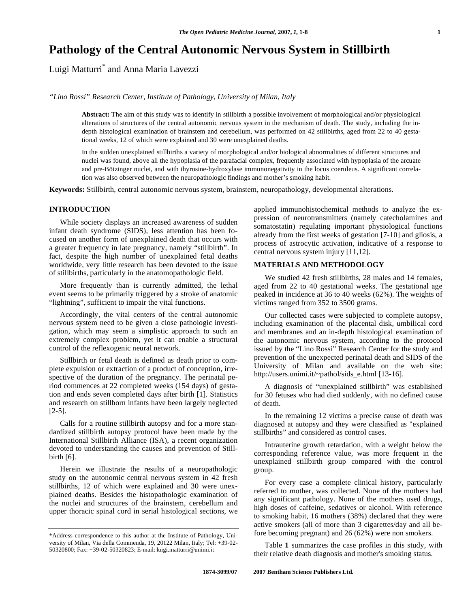# **Pathology of the Central Autonomic Nervous System in Stillbirth**

Luigi Matturri\* and Anna Maria Lavezzi

*"Lino Rossi" Research Center, Institute of Pathology, University of Milan, Italy* 

**Abstract:** The aim of this study was to identify in stillbirth a possible involvement of morphological and/or physiological alterations of structures of the central autonomic nervous system in the mechanism of death. The study, including the indepth histological examination of brainstem and cerebellum, was performed on 42 stillbirths, aged from 22 to 40 gestational weeks, 12 of which were explained and 30 were unexplained deaths.

In the sudden unexplained stillbirths a variety of morphological and/or biological abnormalities of different structures and nuclei was found, above all the hypoplasia of the parafacial complex, frequently associated with hypoplasia of the arcuate and pre-Bötzinger nuclei, and with thyrosine-hydroxylase immunonegativity in the locus coeruleus. A significant correlation was also observed between the neuropathologic findings and mother's smoking habit.

**Keywords:** Stillbirth, central autonomic nervous system, brainstem, neuropathology, developmental alterations.

# **INTRODUCTION**

 While society displays an increased awareness of sudden infant death syndrome (SIDS), less attention has been focused on another form of unexplained death that occurs with a greater frequency in late pregnancy, namely "stillbirth". In fact, despite the high number of unexplained fetal deaths worldwide, very little research has been devoted to the issue of stillbirths, particularly in the anatomopathologic field.

 More frequently than is currently admitted, the lethal event seems to be primarily triggered by a stroke of anatomic "lightning", sufficient to impair the vital functions.

 Accordingly, the vital centers of the central autonomic nervous system need to be given a close pathologic investigation, which may seem a simplistic approach to such an extremely complex problem, yet it can enable a structural control of the reflexogenic neural network.

 Stillbirth or fetal death is defined as death prior to complete expulsion or extraction of a product of conception, irrespective of the duration of the pregnancy. The perinatal period commences at 22 completed weeks (154 days) of gestation and ends seven completed days after birth [1]. Statistics and research on stillborn infants have been largely neglected [2-5].

 Calls for a routine stillbirth autopsy and for a more standardized stillbirth autopsy protocol have been made by the International Stillbirth Alliance (ISA), a recent organization devoted to understanding the causes and prevention of Stillbirth [6].

 Herein we illustrate the results of a neuropathologic study on the autonomic central nervous system in 42 fresh stillbirths, 12 of which were explained and 30 were unexplained deaths. Besides the histopathologic examination of the nuclei and structures of the brainstem, cerebellum and upper thoracic spinal cord in serial histological sections, we

applied immunohistochemical methods to analyze the expression of neurotransmitters (namely catecholamines and somatostatin) regulating important physiological functions already from the first weeks of gestation [7-10] and gliosis, a process of astrocytic activation, indicative of a response to central nervous system injury [11,12].

# **MATERIALS AND METHODOLOGY**

 We studied 42 fresh stillbirths, 28 males and 14 females, aged from 22 to 40 gestational weeks. The gestational age peaked in incidence at 36 to 40 weeks (62%). The weights of victims ranged from 352 to 3500 grams.

 Our collected cases were subjected to complete autopsy, including examination of the placental disk, umbilical cord and membranes and an in-depth histological examination of the autonomic nervous system, according to the protocol issued by the "Lino Rossi" Research Center for the study and prevention of the unexpected perinatal death and SIDS of the University of Milan and available on the web site: http://users.unimi.it/~pathol/sids\_e.html [13-16].

 A diagnosis of "unexplained stillbirth" was established for 30 fetuses who had died suddenly, with no defined cause of death.

 In the remaining 12 victims a precise cause of death was diagnosed at autopsy and they were classified as "explained stillbirths" and considered as control cases.

 Intrauterine growth retardation, with a weight below the corresponding reference value, was more frequent in the unexplained stillbirth group compared with the control group.

 For every case a complete clinical history, particularly referred to mother, was collected. None of the mothers had any significant pathology. None of the mothers used drugs, high doses of caffeine, sedatives or alcohol. With reference to smoking habit, 16 mothers (38%) declared that they were active smokers (all of more than 3 cigarettes/day and all before becoming pregnant) and 26 (62%) were non smokers.

 Table **1** summarizes the case profiles in this study, with their relative death diagnosis and mother's smoking status.

<sup>\*</sup>Address correspondence to this author at the Institute of Pathology, University of Milan, Via della Commenda, 19, 20122 Milan, Italy; Tel: +39-02- 50320800; Fax: +39-02-50320823; E-mail: luigi.matturri@unimi.it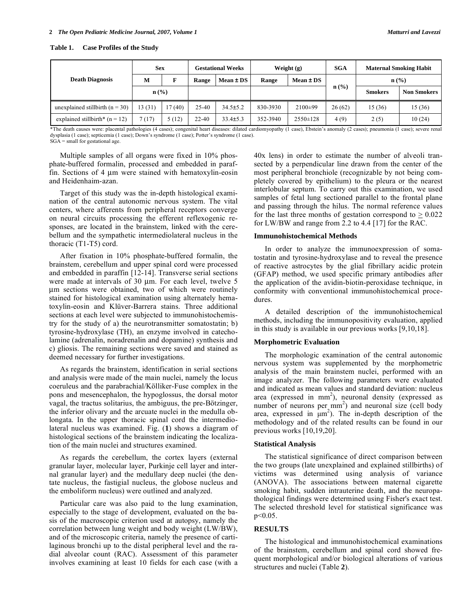| Table 1. | <b>Case Profiles of the Study</b> |  |  |
|----------|-----------------------------------|--|--|
|----------|-----------------------------------|--|--|

|                                     | <b>Sex</b>       |       | <b>Gestational Weeks</b> |                | Weight $(g)$ |                | <b>SGA</b>       | <b>Maternal Smoking Habit</b> |                    |
|-------------------------------------|------------------|-------|--------------------------|----------------|--------------|----------------|------------------|-------------------------------|--------------------|
| <b>Death Diagnosis</b>              | M                |       | Range                    | $Mean \pm DS$  | Range        | $Mean \pm DS$  |                  | $\mathbf{n}(\%)$              |                    |
|                                     | $\mathbf{n}(\%)$ |       |                          |                |              |                | $\mathbf{n}(\%)$ | <b>Smokers</b>                | <b>Non Smokers</b> |
| unexplained stillbirth ( $n = 30$ ) | 13(31)           | 7(40) | $25-40$                  | $34.5 \pm 5.2$ | 830-3930     | $2100\pm99$    | 26(62)           | 15(36)                        | 15(36)             |
| explained stillbirth* $(n = 12)$    | 7 (17)           | 5(12) | $22 - 40$                | $33.4 \pm 5.3$ | 352-3940     | $2550 \pm 128$ | 4(9)             | 2(5)                          | 10(24)             |

\*The death causes were: placental pathologies (4 cases); congenital heart diseases: dilated cardiomyopathy (1 case), Ebstein's anomaly (2 cases); pneumonia (1 case); severe renal dysplasia (1 case); septicemia (1 case); Down's syndrome (1 case); Potter's syndrome (1 case). SGA = small for gestational age.

 Multiple samples of all organs were fixed in 10% phosphate-buffered formalin, processed and embedded in paraffin. Sections of 4 μm were stained with hematoxylin-eosin and Heidenhaim-azan.

 Target of this study was the in-depth histological examination of the central autonomic nervous system. The vital centers, where afferents from peripheral receptors converge on neural circuits processing the efferent reflexogenic responses, are located in the brainstem, linked with the cerebellum and the sympathetic intermediolateral nucleus in the thoracic (T1-T5) cord.

 After fixation in 10% phosphate-buffered formalin, the brainstem, cerebellum and upper spinal cord were processed and embedded in paraffin [12-14]. Transverse serial sections were made at intervals of 30 μm. For each level, twelve 5 μm sections were obtained, two of which were routinely stained for histological examination using alternately hematoxylin-eosin and Klüver-Barrera stains. Three additional sections at each level were subjected to immunohistochemistry for the study of a) the neurotransmitter somatostatin; b) tyrosine-hydroxylase (TH), an enzyme involved in catecholamine (adrenalin, noradrenalin and dopamine) synthesis and c) gliosis. The remaining sections were saved and stained as deemed necessary for further investigations.

 As regards the brainstem, identification in serial sections and analysis were made of the main nuclei, namely the locus coeruleus and the parabrachial/Kölliker-Fuse complex in the pons and mesencephalon, the hypoglossus, the dorsal motor vagal, the tractus solitarius, the ambiguus, the pre-Bötzinger, the inferior olivary and the arcuate nuclei in the medulla oblongata. In the upper thoracic spinal cord the intermediolateral nucleus was examined. Fig. (**1**) shows a diagram of histological sections of the brainstem indicating the localization of the main nuclei and structures examined.

 As regards the cerebellum, the cortex layers (external granular layer, molecular layer, Purkinje cell layer and internal granular layer) and the medullary deep nuclei (the dentate nucleus, the fastigial nucleus, the globose nucleus and the emboliform nucleus) were outlined and analyzed.

 Particular care was also paid to the lung examination, especially to the stage of development, evaluated on the basis of the macroscopic criterion used at autopsy, namely the correlation between lung weight and body weight (LW/BW), and of the microscopic criteria, namely the presence of cartilaginous bronchi up to the distal peripheral level and the radial alveolar count (RAC). Assessment of this parameter involves examining at least 10 fields for each case (with a

40x lens) in order to estimate the number of alveoli transected by a perpendicular line drawn from the center of the most peripheral bronchiole (recognizable by not being completely covered by epithelium) to the pleura or the nearest interlobular septum. To carry out this examination, we used samples of fetal lung sectioned parallel to the frontal plane and passing through the hilus. The normal reference values for the last three months of gestation correspond to  $\geq 0.022$ for LW/BW and range from 2.2 to 4.4 [17] for the RAC.

### **Immunohistochemical Methods**

 In order to analyze the immunoexpression of somatostatin and tyrosine-hydroxylase and to reveal the presence of reactive astrocytes by the glial fibrillary acidic protein (GFAP) method, we used specific primary antibodies after the application of the avidin-biotin-peroxidase technique, in conformity with conventional immunohistochemical procedures.

 A detailed description of the immunohistochemical methods, including the immunopositivity evaluation, applied in this study is available in our previous works [9,10,18].

## **Morphometric Evaluation**

 The morphologic examination of the central autonomic nervous system was supplemented by the morphometric analysis of the main brainstem nuclei, performed with an image analyzer. The following parameters were evaluated and indicated as mean values and standard deviation: nucleus area (expressed in mm<sup>2</sup>), neuronal density (expressed as number of neurons per  $mm<sup>2</sup>$ ) and neuronal size (cell body area, expressed in  $\mu$ m<sup>2</sup>). The in-depth description of the methodology and of the related results can be found in our previous works [10,19,20].

#### **Statistical Analysis**

 The statistical significance of direct comparison between the two groups (late unexplained and explained stillbirths) of victims was determined using analysis of variance (ANOVA). The associations between maternal cigarette smoking habit, sudden intrauterine death, and the neuropathological findings were determined using Fisher's exact test. The selected threshold level for statistical significance was  $p < 0.05$ .

#### **RESULTS**

 The histological and immunohistochemical examinations of the brainstem, cerebellum and spinal cord showed frequent morphological and/or biological alterations of various structures and nuclei (Table **2**).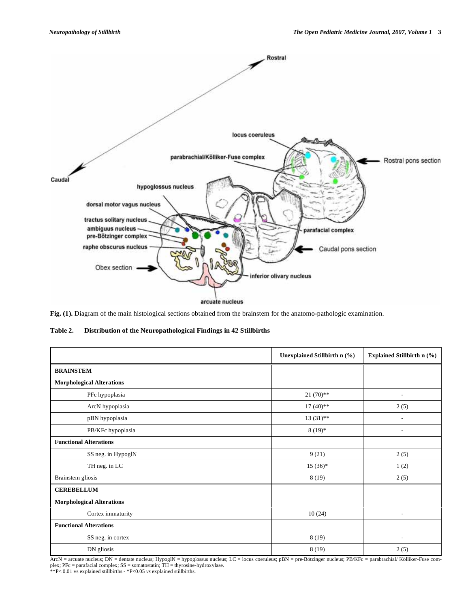

**Fig. (1).** Diagram of the main histological sections obtained from the brainstem for the anatomo-pathologic examination.

**Table 2. Distribution of the Neuropathological Findings in 42 Stillbirths** 

|                                  | Unexplained Stillbirth $n$ $(\% )$ | <b>Explained Stillbirth n (%)</b> |
|----------------------------------|------------------------------------|-----------------------------------|
| <b>BRAINSTEM</b>                 |                                    |                                   |
| <b>Morphological Alterations</b> |                                    |                                   |
| PFc hypoplasia                   | $21(70)$ **                        |                                   |
| ArcN hypoplasia                  | $17(40)$ **                        | 2(5)                              |
| pBN hypoplasia                   | $13(31)$ **                        |                                   |
| PB/KFc hypoplasia                | $8(19)*$                           | $\overline{\phantom{0}}$          |
| <b>Functional Alterations</b>    |                                    |                                   |
| SS neg. in HypoglN               | 9(21)                              | 2(5)                              |
| TH neg. in LC                    | $15(36)*$                          | 1(2)                              |
| Brainstem gliosis                | 8(19)                              | 2(5)                              |
| <b>CEREBELLUM</b>                |                                    |                                   |
| <b>Morphological Alterations</b> |                                    |                                   |
| Cortex immaturity                | 10(24)                             | $\overline{\phantom{a}}$          |
| <b>Functional Alterations</b>    |                                    |                                   |
| SS neg. in cortex                | 8(19)                              | ٠                                 |
| DN gliosis                       | 8(19)                              | 2(5)                              |

ArcN = arcuate nucleus; DN = dentate nucleus; HypoglN = hypoglossus nucleus; LC = locus coeruleus; pBN = pre-Bötzinger nucleus; PB/KFc = parabrachial/ Kölliker-Fuse complex; PFc = parafacial complex; SS = somatostatin; TH = thyrosine-hydroxylase. \*\*P< 0.01 vs explained stillbirths - \*P<0.05 *vs* explained stillbirths.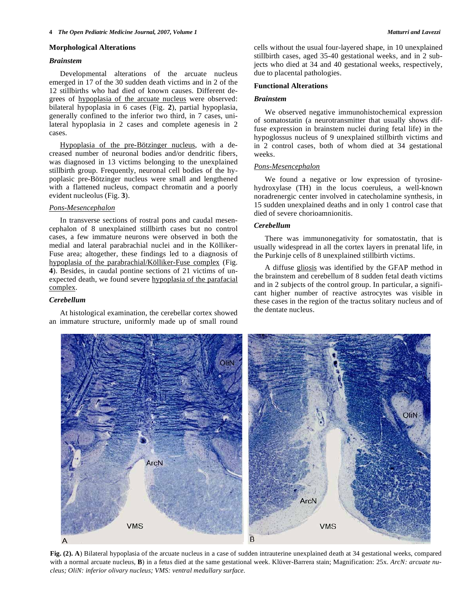#### **Morphological Alterations**

#### *Brainstem*

 Developmental alterations of the arcuate nucleus emerged in 17 of the 30 sudden death victims and in 2 of the 12 stillbirths who had died of known causes. Different degrees of hypoplasia of the arcuate nucleus were observed: bilateral hypoplasia in 6 cases (Fig. **2**), partial hypoplasia, generally confined to the inferior two third, in 7 cases, unilateral hypoplasia in 2 cases and complete agenesis in 2 cases.

 Hypoplasia of the pre-Bötzinger nucleus, with a decreased number of neuronal bodies and/or dendritic fibers, was diagnosed in 13 victims belonging to the unexplained stillbirth group. Frequently, neuronal cell bodies of the hypoplasic pre-Bötzinger nucleus were small and lengthened with a flattened nucleus, compact chromatin and a poorly evident nucleolus (Fig. **3**).

## *Pons-Mesencephalon*

 In transverse sections of rostral pons and caudal mesencephalon of 8 unexplained stillbirth cases but no control cases, a few immature neurons were observed in both the medial and lateral parabrachial nuclei and in the Kölliker-Fuse area; altogether, these findings led to a diagnosis of hypoplasia of the parabrachial/Kölliker-Fuse complex (Fig. **4**). Besides, in caudal pontine sections of 21 victims of unexpected death, we found severe hypoplasia of the parafacial complex.

## *Cerebellum*

 At histological examination, the cerebellar cortex showed an immature structure, uniformly made up of small round cells without the usual four-layered shape, in 10 unexplained stillbirth cases, aged 35-40 gestational weeks, and in 2 subjects who died at 34 and 40 gestational weeks, respectively, due to placental pathologies.

#### **Functional Alterations**

## *Brainstem*

 We observed negative immunohistochemical expression of somatostatin (a neurotransmitter that usually shows diffuse expression in brainstem nuclei during fetal life) in the hypoglossus nucleus of 9 unexplained stillbirth victims and in 2 control cases, both of whom died at 34 gestational weeks.

# *Pons-Mesencephalon*

 We found a negative or low expression of tyrosinehydroxylase (TH) in the locus coeruleus, a well-known noradrenergic center involved in catecholamine synthesis, in 15 sudden unexplained deaths and in only 1 control case that died of severe chorioamnionitis.

#### *Cerebellum*

 There was immunonegativity for somatostatin, that is usually widespread in all the cortex layers in prenatal life, in the Purkinje cells of 8 unexplained stillbirth victims.

 A diffuse gliosis was identified by the GFAP method in the brainstem and cerebellum of 8 sudden fetal death victims and in 2 subjects of the control group. In particular, a significant higher number of reactive astrocytes was visible in these cases in the region of the tractus solitary nucleus and of the dentate nucleus.



**Fig. (2). A**) Bilateral hypoplasia of the arcuate nucleus in a case of sudden intrauterine unexplained death at 34 gestational weeks, compared with a normal arcuate nucleus, **B**) in a fetus died at the same gestational week. Klüver-Barrera stain; Magnification: 25x. *ArcN: arcuate nucleus; OliN: inferior olivary nucleus; VMS: ventral medullary surface.*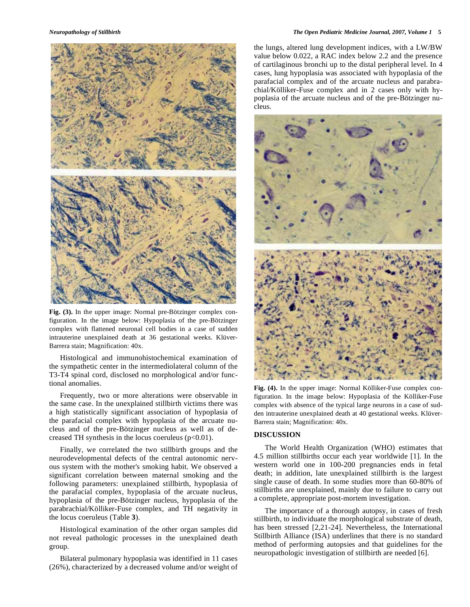

**Fig. (3).** In the upper image: Normal pre-Bötzinger complex configuration. In the image below: Hypoplasia of the pre-Bötzinger complex with flattened neuronal cell bodies in a case of sudden intrauterine unexplained death at 36 gestational weeks. Klüver-Barrera stain; Magnification: 40x.

 Histological and immunohistochemical examination of the sympathetic center in the intermediolateral column of the T3-T4 spinal cord, disclosed no morphological and/or functional anomalies.

 Frequently, two or more alterations were observable in the same case. In the unexplained stillbirth victims there was a high statistically significant association of hypoplasia of the parafacial complex with hypoplasia of the arcuate nucleus and of the pre-Bötzinger nucleus as well as of decreased TH synthesis in the locus coeruleus (p<0.01).

 Finally, we correlated the two stillbirth groups and the neurodevelopmental defects of the central autonomic nervous system with the mother's smoking habit. We observed a significant correlation between maternal smoking and the following parameters: unexplained stillbirth, hypoplasia of the parafacial complex, hypoplasia of the arcuate nucleus, hypoplasia of the pre-Bötzinger nucleus, hypoplasia of the parabrachial/Kölliker-Fuse complex, and TH negativity in the locus coeruleus (Table **3**).

 Histological examination of the other organ samples did not reveal pathologic processes in the unexplained death group.

 Bilateral pulmonary hypoplasia was identified in 11 cases (26%), characterized by a decreased volume and/or weight of the lungs, altered lung development indices, with a LW/BW value below 0.022, a RAC index below 2.2 and the presence of cartilaginous bronchi up to the distal peripheral level. In 4 cases, lung hypoplasia was associated with hypoplasia of the parafacial complex and of the arcuate nucleus and parabrachial/Kölliker-Fuse complex and in 2 cases only with hypoplasia of the arcuate nucleus and of the pre-Bötzinger nucleus.



**Fig. (4).** In the upper image: Normal Kölliker-Fuse complex configuration. In the image below: Hypoplasia of the Kölliker-Fuse complex with absence of the typical large neurons in a case of sudden intrauterine unexplained death at 40 gestational weeks. Klüver-Barrera stain; Magnification: 40x.

#### **DISCUSSION**

 The World Health Organization (WHO) estimates that 4.5 million stillbirths occur each year worldwide [1]. In the western world one in 100-200 pregnancies ends in fetal death; in addition, late unexplained stillbirth is the largest single cause of death. In some studies more than 60-80% of stillbirths are unexplained, mainly due to failure to carry out a complete, appropriate post-mortem investigation.

 The importance of a thorough autopsy, in cases of fresh stillbirth, to individuate the morphological substrate of death, has been stressed [2,21-24]. Nevertheless, the International Stillbirth Alliance (ISA) underlines that there is no standard method of performing autopsies and that guidelines for the neuropathologic investigation of stillbirth are needed [6].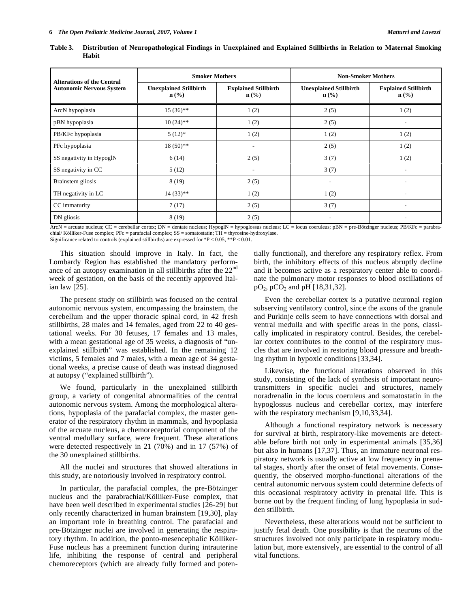| <b>Alterations of the Central</b><br><b>Autonomic Nervous System</b> | <b>Smoker Mothers</b>                             |                                                 | <b>Non-Smoker Mothers</b>                         |                                                            |  |
|----------------------------------------------------------------------|---------------------------------------------------|-------------------------------------------------|---------------------------------------------------|------------------------------------------------------------|--|
|                                                                      | <b>Unexplained Stillbirth</b><br>$\mathbf{n}(\%)$ | <b>Explained Stillbirth</b><br>$\mathbf{n}(\%)$ | <b>Unexplained Stillbirth</b><br>$\mathbf{n}(\%)$ | <b>Explained Stillbirth</b><br>$n\left(\frac{0}{0}\right)$ |  |
| ArcN hypoplasia                                                      | $15(36)$ **                                       | 1(2)                                            | 2(5)                                              | 1(2)                                                       |  |
| pBN hypoplasia                                                       | $10(24)$ **                                       | 1(2)                                            | 2(5)                                              |                                                            |  |
| PB/KFc hypoplasia                                                    | $5(12)*$                                          | 1(2)                                            | 1(2)                                              | 1(2)                                                       |  |
| PFc hypoplasia                                                       | $18(50)*$                                         | ۰                                               | 2(5)                                              | 1(2)                                                       |  |
| SS negativity in HypoglN                                             | 6(14)                                             | 2(5)                                            | 3(7)                                              | 1(2)                                                       |  |
| SS negativity in CC                                                  | 5(12)                                             | ٠                                               | 3(7)                                              | $\overline{\phantom{a}}$                                   |  |
| Brainstem gliosis                                                    | 8(19)                                             | 2(5)                                            | ۰                                                 |                                                            |  |
| TH negativity in LC                                                  | $14(33)$ **                                       | 1(2)                                            | 1(2)                                              | $\overline{\phantom{a}}$                                   |  |
| CC immaturity                                                        | 7(17)                                             | 2(5)                                            | 3(7)                                              | $\overline{\phantom{a}}$                                   |  |
| DN gliosis                                                           | 8(19)                                             | 2(5)                                            |                                                   |                                                            |  |

**Table 3. Distribution of Neuropathological Findings in Unexplained and Explained Stillbirths in Relation to Maternal Smoking Habit** 

 $ArcN =$  arcuate nucleus; CC = cerebellar cortex; DN = dentate nucleus; HypoglN = hypoglossus nucleus; LC = locus coeruleus; pBN = pre-Bötzinger nucleus; PB/KFc = parabrachial/ Kölliker-Fuse complex; PFc = parafacial complex; SS = somatostatin; TH = thyrosine-hydroxylase. Significance related to controls (explained stillbirths) are expressed for \*P < 0.05, \*\*P < 0.01.

 This situation should improve in Italy. In fact, the Lombardy Region has established the mandatory performance of an autopsy examination in all stillbirths after the 22<sup>nd</sup> week of gestation, on the basis of the recently approved Italian law [25].

 The present study on stillbirth was focused on the central autonomic nervous system, encompassing the brainstem, the cerebellum and the upper thoracic spinal cord, in 42 fresh stillbirths, 28 males and 14 females, aged from 22 to 40 gestational weeks. For 30 fetuses, 17 females and 13 males, with a mean gestational age of 35 weeks, a diagnosis of "unexplained stillbirth" was established. In the remaining 12 victims, 5 females and 7 males, with a mean age of 34 gestational weeks, a precise cause of death was instead diagnosed at autopsy ("explained stillbirth").

 We found, particularly in the unexplained stillbirth group, a variety of congenital abnormalities of the central autonomic nervous system. Among the morphological alterations, hypoplasia of the parafacial complex, the master generator of the respiratory rhythm in mammals, and hypoplasia of the arcuate nucleus, a chemoreceptorial component of the ventral medullary surface, were frequent. These alterations were detected respectively in 21 (70%) and in 17 (57%) of the 30 unexplained stillbirths.

 All the nuclei and structures that showed alterations in this study, are notoriously involved in respiratory control.

 In particular, the parafacial complex, the pre-Bötzinger nucleus and the parabrachial/Kölliker-Fuse complex, that have been well described in experimental studies [26-29] but only recently characterized in human brainstem [19,30], play an important role in breathing control. The parafacial and pre-Bötzinger nuclei are involved in generating the respiratory rhythm. In addition, the ponto-mesencephalic Kölliker-Fuse nucleus has a preeminent function during intrauterine life, inhibiting the response of central and peripheral chemoreceptors (which are already fully formed and potentially functional), and therefore any respiratory reflex. From birth, the inhibitory effects of this nucleus abruptly decline and it becomes active as a respiratory center able to coordinate the pulmonary motor responses to blood oscillations of  $pO_2$ ,  $pCO_2$  and  $pH$  [18,31,32].

 Even the cerebellar cortex is a putative neuronal region subserving ventilatory control, since the axons of the granule and Purkinje cells seem to have connections with dorsal and ventral medulla and with specific areas in the pons, classically implicated in respiratory control. Besides, the cerebellar cortex contributes to the control of the respiratory muscles that are involved in restoring blood pressure and breathing rhythm in hypoxic conditions [33,34].

 Likewise, the functional alterations observed in this study, consisting of the lack of synthesis of important neurotransmitters in specific nuclei and structures, namely noradrenalin in the locus coeruleus and somatostatin in the hypoglossus nucleus and cerebellar cortex, may interfere with the respiratory mechanism [9,10,33,34].

 Although a functional respiratory network is necessary for survival at birth, respiratory-like movements are detectable before birth not only in experimental animals [35,36] but also in humans [17,37]. Thus, an immature neuronal respiratory network is usually active at low frequency in prenatal stages, shortly after the onset of fetal movements. Consequently, the observed morpho-functional alterations of the central autonomic nervous system could determine defects of this occasional respiratory activity in prenatal life. This is borne out by the frequent finding of lung hypoplasia in sudden stillbirth.

 Nevertheless, these alterations would not be sufficient to justify fetal death. One possibility is that the neurons of the structures involved not only participate in respiratory modulation but, more extensively, are essential to the control of all vital functions.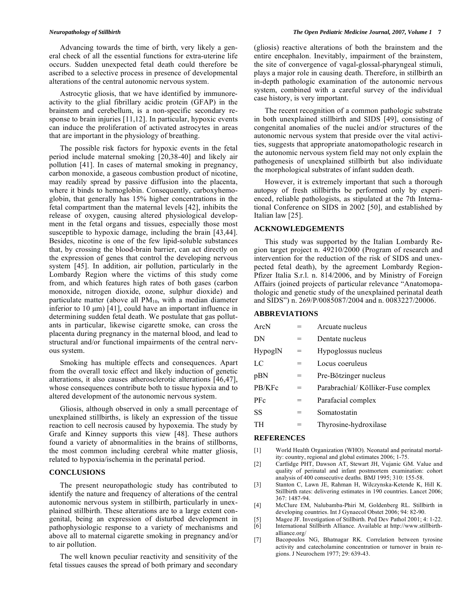Advancing towards the time of birth, very likely a general check of all the essential functions for extra-uterine life occurs. Sudden unexpected fetal death could therefore be ascribed to a selective process in presence of developmental alterations of the central autonomic nervous system.

 Astrocytic gliosis, that we have identified by immunoreactivity to the glial fibrillary acidic protein (GFAP) in the brainstem and cerebellum, is a non-specific secondary response to brain injuries [11,12]. In particular, hypoxic events can induce the proliferation of activated astrocytes in areas that are important in the physiology of breathing.

 The possible risk factors for hypoxic events in the fetal period include maternal smoking [20,38-40] and likely air pollution [41]. In cases of maternal smoking in pregnancy, carbon monoxide, a gaseous combustion product of nicotine, may readily spread by passive diffusion into the placenta, where it binds to hemoglobin. Consequently, carboxyhemoglobin, that generally has 15% higher concentrations in the fetal compartment than the maternal levels [42], inhibits the release of oxygen, causing altered physiological development in the fetal organs and tissues, especially those most susceptible to hypoxic damage, including the brain [43,44]. Besides, nicotine is one of the few lipid-soluble substances that, by crossing the blood-brain barrier, can act directly on the expression of genes that control the developing nervous system [45]. In addition, air pollution, particularly in the Lombardy Region where the victims of this study come from, and which features high rates of both gases (carbon monoxide, nitrogen dioxide, ozone, sulphur dioxide) and particulate matter (above all  $PM_{10}$ , with a median diameter inferior to 10 μm) [41], could have an important influence in determining sudden fetal death. We postulate that gas pollutants in particular, likewise cigarette smoke, can cross the placenta during pregnancy in the maternal blood, and lead to structural and/or functional impairments of the central nervous system.

 Smoking has multiple effects and consequences. Apart from the overall toxic effect and likely induction of genetic alterations, it also causes atherosclerotic alterations [46,47], whose consequences contribute both to tissue hypoxia and to altered development of the autonomic nervous system.

 Gliosis, although observed in only a small percentage of unexplained stillbirths, is likely an expression of the tissue reaction to cell necrosis caused by hypoxemia. The study by Grafe and Kinney supports this view [48]. These authors found a variety of abnormalities in the brains of stillborns, the most common including cerebral white matter gliosis, related to hypoxia/ischemia in the perinatal period.

# **CONCLUSIONS**

 The present neuropathologic study has contributed to identify the nature and frequency of alterations of the central autonomic nervous system in stillbirth, particularly in unexplained stillbirth. These alterations are to a large extent congenital, being an expression of disturbed development in pathophysiologic response to a variety of mechanisms and above all to maternal cigarette smoking in pregnancy and/or to air pollution.

 The well known peculiar reactivity and sensitivity of the fetal tissues causes the spread of both primary and secondary (gliosis) reactive alterations of both the brainstem and the entire encephalon. Inevitably, impairment of the brainstem, the site of convergence of vagal-glossal-pharyngeal stimuli, plays a major role in causing death. Therefore, in stillbirth an in-depth pathologic examination of the autonomic nervous system, combined with a careful survey of the individual case history, is very important.

 The recent recognition of a common pathologic substrate in both unexplained stillbirth and SIDS [49], consisting of congenital anomalies of the nuclei and/or structures of the autonomic nervous system that preside over the vital activities, suggests that appropriate anatomopathologic research in the autonomic nervous system field may not only explain the pathogenesis of unexplained stillbirth but also individuate the morphological substrates of infant sudden death.

 However, it is extremely important that such a thorough autopsy of fresh stillbirths be performed only by experienced, reliable pathologists, as stipulated at the 7th International Conference on SIDS in 2002 [50], and established by Italian law [25].

## **ACKNOWLEDGEMENTS**

 This study was supported by the Italian Lombardy Region target project n. 49210/2000 (Program of research and intervention for the reduction of the risk of SIDS and unexpected fetal death), by the agreement Lombardy Region-Pfizer Italia S.r.l. n. 814/2006, and by Ministry of Foreign Affairs (joined projects of particular relevance "Anatomopathologic and genetic study of the unexplained perinatal death and SIDS") n. 269/P/0085087/2004 and n. 0083227/20006.

#### **ABBREVIATIONS**

| ArcN       |     | Arcuate nucleus                    |
|------------|-----|------------------------------------|
| DN         | $=$ | Dentate nucleus                    |
| HypoglN    | $=$ | Hypoglossus nucleus                |
| LC         | $=$ | Locus coeruleus                    |
| pBN        | $=$ | Pre-Bötzinger nucleus              |
| PB/KFc     | $=$ | Parabrachial/Kölliker-Fuse complex |
| <b>PFc</b> | $=$ | Parafacial complex                 |
| SS         | =   | Somatostatin                       |
| TН         |     | Thyrosine-hydroxilase              |

#### **REFERENCES**

- [1] World Health Organization (WHO). Neonatal and perinatal mortality: country, regional and global estimates 2006; 1-75.
- [2] Cartlidge PHT, Dawson AT, Stewart JH, Vujanic GM. Value and quality of perinatal and infant postmortem examination: cohort analysis of 400 consecutive deaths. BMJ 1995; 310: 155-58.
- [3] Stanton C, Lawn JE, Rahman H, Wilczynska-Ketende K, Hill K. Stillbirth rates: delivering estimates in 190 countries. Lancet 2006; 367: 1487-94.
- [4] McClure EM, Nalubamba-Phiri M, Goldenberg RL. Stillbirth in developing countries. Int J Gynaecol Obstet 2006; 94: 82-90.
- [5] Magee JF. Investigation of Stillbirth. Ped Dev Pathol 2001; 4: 1-22.
- [6] International Stillbirth Alliance. Available at http://www.stillbirthalliance.org/
- [7] Bacopoulos NG, Bhatnagar RK. Correlation between tyrosine activity and catecholamine concentration or turnover in brain regions. J Neurochem 1977; 29: 639-43.